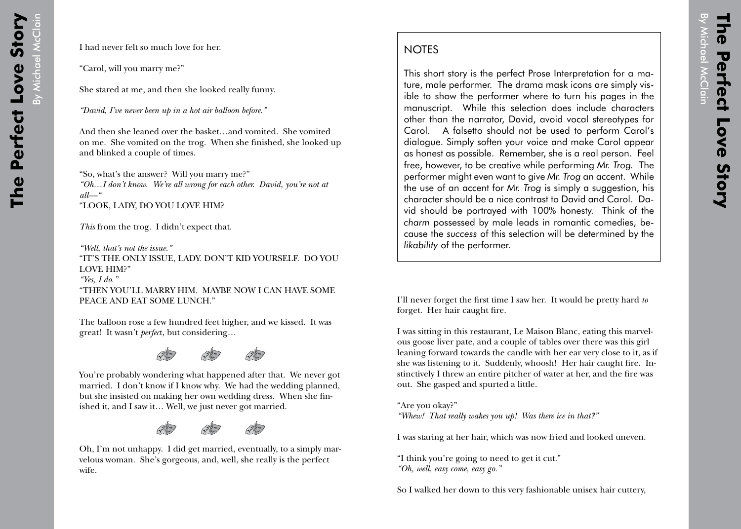## **NOTES**

This short story is the perfect Prose Interpretation for a mature, male performer. The drama mask icons are simply visible to show the performer where to turn his pages in the manuscript. While this selection does include characters other than the narrator, David, avoid vocal stereotypes for Carol. A falsetto should not be used to perform Carol's dialogue. Simply soften your voice and make Carol appear as honest as possible. Remember, she is a real person. Feel free, however, to be creative while performing *Mr. Trog.* The performer might even want to give *Mr. Trog* an accent. While the use of an accent for *Mr. Trog* is simply a suggestion, his character should be a nice contrast to David and Carol. David should be portrayed with 100% honesty. Think of the *charm* possessed by male leads in romantic comedies, because the *success* of this selection will be determined by the *likability* of the performer.

I'll never forget the first time I saw her. It would be pretty hard *to* forget. Her hair caught fire.

I was sitting in this restaurant, Le Maison Blanc, eating this marvelous goose liver pate, and a couple of tables over there was this girl leaning forward towards the candle with her ear very close to it, as if she was listening to it. Suddenly, whoosh! Her hair caught fire. Instinctively I threw an entire pitcher of water at her, and the fire was out. She gasped and spurted a little.

"Are you okay?" *"Whew! That really wakes you up! Was there ice in that?"*

I was staring at her hair, which was now fried and looked uneven.

"I think you're going to need to get it cut." *"Oh, well, easy come, easy go."*

So I walked her down to this very fashionable unisex hair cuttery,